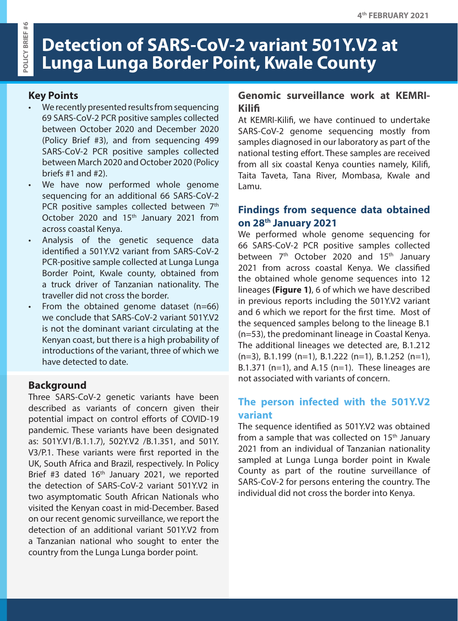# **Detection of SARS-CoV-2 variant 501Y.V2 at Lunga Lunga Border Point, Kwale County**

### **Key Points**

- We recently presented results from sequencing 69 SARS-CoV-2 PCR positive samples collected between October 2020 and December 2020 (Policy Brief #3), and from sequencing 499 SARS-CoV-2 PCR positive samples collected between March 2020 and October 2020 (Policy briefs #1 and #2).
- We have now performed whole genome sequencing for an additional 66 SARS-CoV-2 PCR positive samples collected between 7<sup>th</sup> October 2020 and 15<sup>th</sup> January 2021 from across coastal Kenya.
- Analysis of the genetic sequence data identified a 501Y.V2 variant from SARS-CoV-2 PCR-positive sample collected at Lunga Lunga Border Point, Kwale county, obtained from a truck driver of Tanzanian nationality. The traveller did not cross the border.
- From the obtained genome dataset  $(n=66)$ we conclude that SARS-CoV-2 variant 501Y.V2 is not the dominant variant circulating at the Kenyan coast, but there is a high probability of introductions of the variant, three of which we have detected to date.

#### **Background**

Three SARS-CoV-2 genetic variants have been described as variants of concern given their potential impact on control efforts of COVID-19 pandemic. These variants have been designated as: 501Y.V1/B.1.1.7), 502Y.V2 /B.1.351, and 501Y. V3/P.1. These variants were first reported in the UK, South Africa and Brazil, respectively. In Policy Brief #3 dated 16<sup>th</sup> January 2021, we reported the detection of SARS-CoV-2 variant 501Y.V2 in two asymptomatic South African Nationals who visited the Kenyan coast in mid-December. Based on our recent genomic surveillance, we report the detection of an additional variant 501Y.V2 from a Tanzanian national who sought to enter the country from the Lunga Lunga border point.

### **Genomic surveillance work at KEMRI-Kilifi**

At KEMRI-Kilifi, we have continued to undertake SARS-CoV-2 genome sequencing mostly from samples diagnosed in our laboratory as part of the national testing effort. These samples are received from all six coastal Kenya counties namely, Kilifi, Taita Taveta, Tana River, Mombasa, Kwale and Lamu.

## **Findings from sequence data obtained on 28th January 2021**

We performed whole genome sequencing for 66 SARS-CoV-2 PCR positive samples collected between 7<sup>th</sup> October 2020 and 15<sup>th</sup> January 2021 from across coastal Kenya. We classified the obtained whole genome sequences into 12 lineages **(Figure 1)**, 6 of which we have described in previous reports including the 501Y.V2 variant and 6 which we report for the first time. Most of the sequenced samples belong to the lineage B.1 (n=53), the predominant lineage in Coastal Kenya. The additional lineages we detected are, B.1.212 (n=3), B.1.199 (n=1), B.1.222 (n=1), B.1.252 (n=1), B.1.371 ( $n=1$ ), and A.15 ( $n=1$ ). These lineages are not associated with variants of concern.

#### **The person infected with the 501Y.V2 variant**

The sequence identified as 501Y.V2 was obtained from a sample that was collected on 15<sup>th</sup> January 2021 from an individual of Tanzanian nationality sampled at Lunga Lunga border point in Kwale County as part of the routine surveillance of SARS-CoV-2 for persons entering the country. The individual did not cross the border into Kenya.